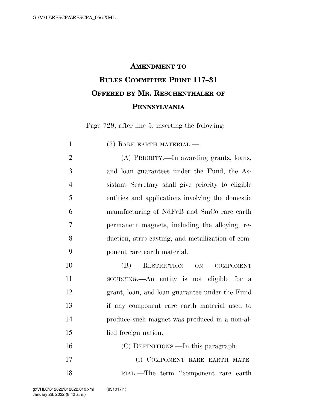## **AMENDMENT TO RULES COMMITTEE PRINT 117–31 OFFERED BY MR. RESCHENTHALER OF PENNSYLVANIA**

Page 729, after line 5, inserting the following:

| $\mathbf{1}$   | (3) RARE EARTH MATERIAL.—                         |
|----------------|---------------------------------------------------|
| $\overline{2}$ | (A) PRIORITY.—In awarding grants, loans,          |
| 3              | and loan guarantees under the Fund, the As-       |
| $\overline{4}$ | sistant Secretary shall give priority to eligible |
| 5              | entities and applications involving the domestic  |
| 6              | manufacturing of NdFeB and SmCo rare earth        |
| 7              | permanent magnets, including the alloying, re-    |
| 8              | duction, strip casting, and metallization of com- |
| 9              | ponent rare earth material.                       |
| 10             | RESTRICTION<br>(B)<br>ON<br><b>COMPONENT</b>      |
| 11             | sourcing.—An entity is not eligible for a         |
| 12             | grant, loan, and loan guarantee under the Fund    |
| 13             | if any component rare earth material used to      |
| 14             | produce such magnet was produced in a non-al-     |
| 15             | lied foreign nation.                              |
| 16             | (C) DEFINITIONS.—In this paragraph:               |
| 17             | (i) COMPONENT RARE EARTH MATE-                    |
| 18             | RIAL.—The term "component rare earth              |